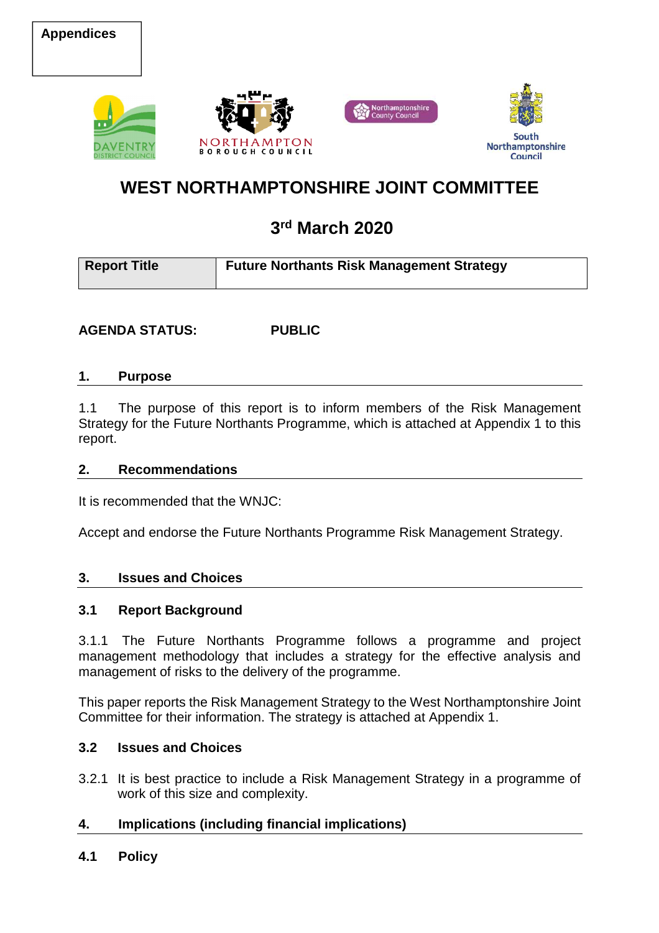





## **WEST NORTHAMPTONSHIRE JOINT COMMITTEE**

# **3rd March 2020**

| <b>Report Title</b> | <b>Future Northants Risk Management Strategy</b> |
|---------------------|--------------------------------------------------|
|                     |                                                  |

**AGENDA STATUS: PUBLIC** 

#### **1. Purpose**

1.1 The purpose of this report is to inform members of the Risk Management Strategy for the Future Northants Programme, which is attached at Appendix 1 to this report.

#### **2. Recommendations**

It is recommended that the WNJC:

Accept and endorse the Future Northants Programme Risk Management Strategy.

#### **3. Issues and Choices**

#### **3.1 Report Background**

3.1.1 The Future Northants Programme follows a programme and project management methodology that includes a strategy for the effective analysis and management of risks to the delivery of the programme.

This paper reports the Risk Management Strategy to the West Northamptonshire Joint Committee for their information. The strategy is attached at Appendix 1.

#### **3.2 Issues and Choices**

3.2.1 It is best practice to include a Risk Management Strategy in a programme of work of this size and complexity.

#### **4. Implications (including financial implications)**

#### **4.1 Policy**